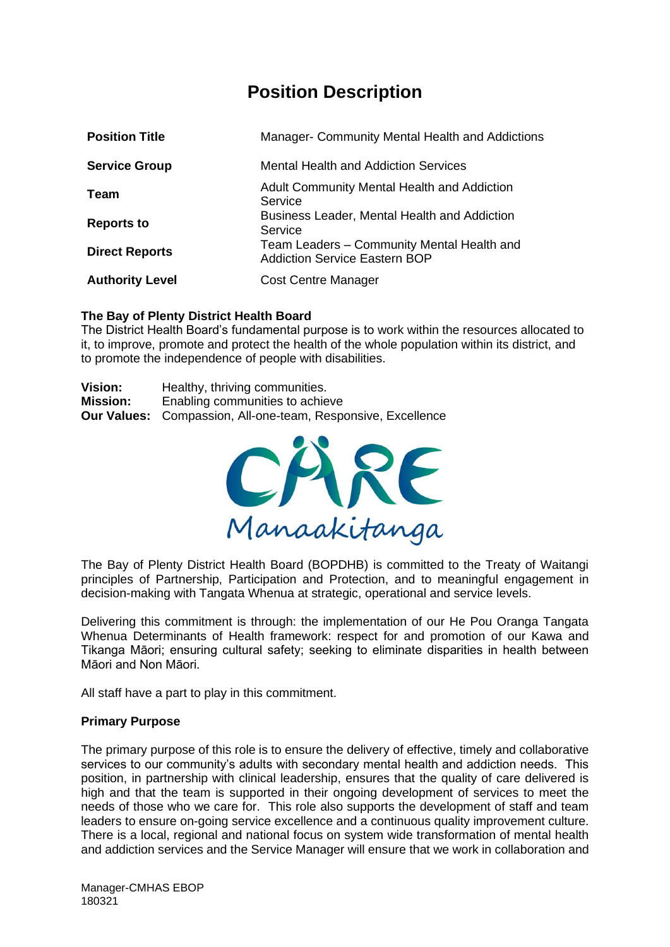## **Position Description**

| <b>Position Title</b>  | Manager- Community Mental Health and Addictions                                    |
|------------------------|------------------------------------------------------------------------------------|
| <b>Service Group</b>   | <b>Mental Health and Addiction Services</b>                                        |
| Team                   | <b>Adult Community Mental Health and Addiction</b><br>Service                      |
| <b>Reports to</b>      | <b>Business Leader, Mental Health and Addiction</b><br>Service                     |
| <b>Direct Reports</b>  | Team Leaders – Community Mental Health and<br><b>Addiction Service Eastern BOP</b> |
| <b>Authority Level</b> | <b>Cost Centre Manager</b>                                                         |

### **The Bay of Plenty District Health Board**

The District Health Board's fundamental purpose is to work within the resources allocated to it, to improve, promote and protect the health of the whole population within its district, and to promote the independence of people with disabilities.

| <b>Vision:</b>  | Healthy, thriving communities.                                      |  |
|-----------------|---------------------------------------------------------------------|--|
| <b>Mission:</b> | Enabling communities to achieve                                     |  |
|                 | <b>Our Values:</b> Compassion, All-one-team, Responsive, Excellence |  |



The Bay of Plenty District Health Board (BOPDHB) is committed to the Treaty of Waitangi principles of Partnership, Participation and Protection, and to meaningful engagement in decision-making with Tangata Whenua at strategic, operational and service levels.

Delivering this commitment is through: the implementation of our He Pou Oranga Tangata Whenua Determinants of Health framework: respect for and promotion of our Kawa and Tikanga Māori; ensuring cultural safety; seeking to eliminate disparities in health between Māori and Non Māori.

All staff have a part to play in this commitment.

### **Primary Purpose**

The primary purpose of this role is to ensure the delivery of effective, timely and collaborative services to our community's adults with secondary mental health and addiction needs. This position, in partnership with clinical leadership, ensures that the quality of care delivered is high and that the team is supported in their ongoing development of services to meet the needs of those who we care for. This role also supports the development of staff and team leaders to ensure on-going service excellence and a continuous quality improvement culture. There is a local, regional and national focus on system wide transformation of mental health and addiction services and the Service Manager will ensure that we work in collaboration and

Manager-CMHAS EBOP 180321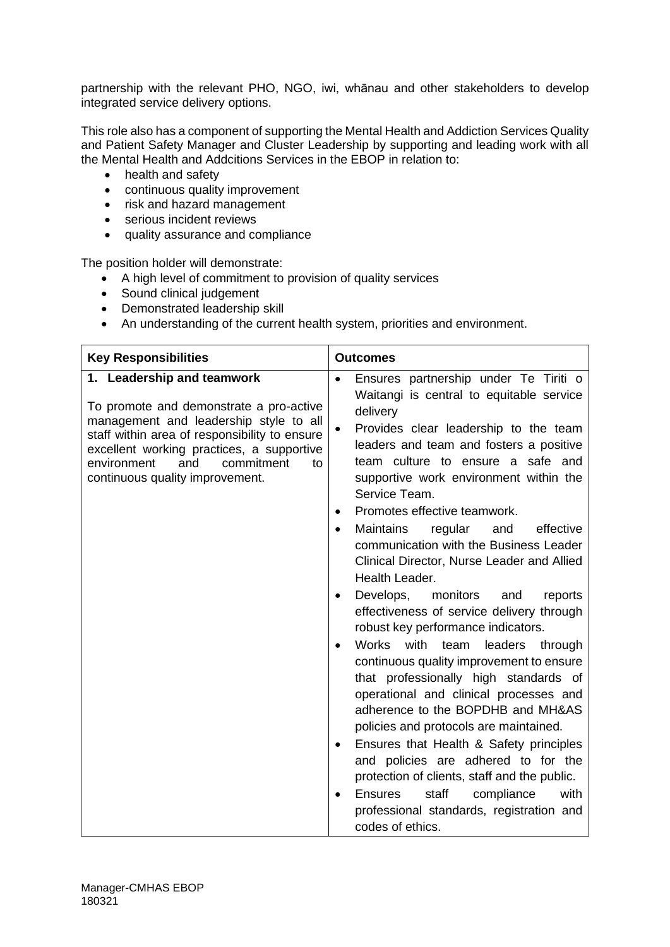partnership with the relevant PHO, NGO, iwi, whānau and other stakeholders to develop integrated service delivery options.

This role also has a component of supporting the Mental Health and Addiction Services Quality and Patient Safety Manager and Cluster Leadership by supporting and leading work with all the Mental Health and Addcitions Services in the EBOP in relation to:

- health and safety
- continuous quality improvement
- risk and hazard management
- serious incident reviews
- quality assurance and compliance

The position holder will demonstrate:

- A high level of commitment to provision of quality services
- Sound clinical judgement
- Demonstrated leadership skill
- An understanding of the current health system, priorities and environment.

| <b>Key Responsibilities</b>                                                                                                                                                                                                                                                                | <b>Outcomes</b>                                                                                                                                                                                                                                                                                                                                                                                                                                                                                                                                                                                                                                                                                                                                                                                                                                                                                                                                                                                                                                                                                                                                                                                  |  |
|--------------------------------------------------------------------------------------------------------------------------------------------------------------------------------------------------------------------------------------------------------------------------------------------|--------------------------------------------------------------------------------------------------------------------------------------------------------------------------------------------------------------------------------------------------------------------------------------------------------------------------------------------------------------------------------------------------------------------------------------------------------------------------------------------------------------------------------------------------------------------------------------------------------------------------------------------------------------------------------------------------------------------------------------------------------------------------------------------------------------------------------------------------------------------------------------------------------------------------------------------------------------------------------------------------------------------------------------------------------------------------------------------------------------------------------------------------------------------------------------------------|--|
| 1. Leadership and teamwork<br>To promote and demonstrate a pro-active<br>management and leadership style to all<br>staff within area of responsibility to ensure<br>excellent working practices, a supportive<br>and<br>commitment<br>environment<br>to<br>continuous quality improvement. | Ensures partnership under Te Tiriti o<br>$\bullet$<br>Waitangi is central to equitable service<br>delivery<br>Provides clear leadership to the team<br>$\bullet$<br>leaders and team and fosters a positive<br>team culture to ensure a safe and<br>supportive work environment within the<br>Service Team.<br>Promotes effective teamwork.<br>Maintains<br>regular<br>effective<br>and<br>$\bullet$<br>communication with the Business Leader<br>Clinical Director, Nurse Leader and Allied<br>Health Leader.<br>Develops, monitors<br>and<br>reports<br>$\bullet$<br>effectiveness of service delivery through<br>robust key performance indicators.<br>with<br>Works<br>team<br>leaders<br>through<br>$\bullet$<br>continuous quality improvement to ensure<br>that professionally high standards of<br>operational and clinical processes and<br>adherence to the BOPDHB and MH&AS<br>policies and protocols are maintained.<br>Ensures that Health & Safety principles<br>$\bullet$<br>and policies are adhered to for the<br>protection of clients, staff and the public.<br>staff<br>with<br><b>Ensures</b><br>compliance<br>professional standards, registration and<br>codes of ethics. |  |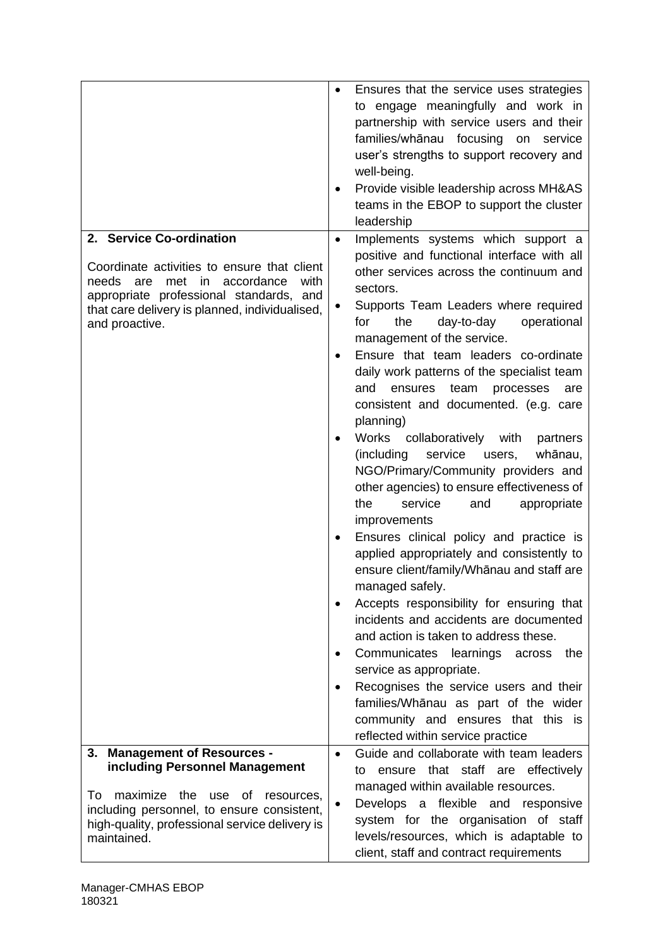|                                                                  | Ensures that the service uses strategies<br>to engage meaningfully and work in<br>partnership with service users and their<br>families/whānau focusing on service<br>user's strengths to support recovery and<br>well-being.<br>Provide visible leadership across MH&AS<br>teams in the EBOP to support the cluster<br>leadership |
|------------------------------------------------------------------|-----------------------------------------------------------------------------------------------------------------------------------------------------------------------------------------------------------------------------------------------------------------------------------------------------------------------------------|
| 2. Service Co-ordination                                         | Implements systems which support a<br>$\bullet$                                                                                                                                                                                                                                                                                   |
| Coordinate activities to ensure that client                      | positive and functional interface with all                                                                                                                                                                                                                                                                                        |
| met in accordance<br>needs are<br>with                           | other services across the continuum and                                                                                                                                                                                                                                                                                           |
| appropriate professional standards, and                          | sectors.                                                                                                                                                                                                                                                                                                                          |
| that care delivery is planned, individualised,<br>and proactive. | Supports Team Leaders where required<br>٠<br>for<br>the<br>day-to-day<br>operational                                                                                                                                                                                                                                              |
|                                                                  | management of the service.                                                                                                                                                                                                                                                                                                        |
|                                                                  | Ensure that team leaders co-ordinate                                                                                                                                                                                                                                                                                              |
|                                                                  | daily work patterns of the specialist team                                                                                                                                                                                                                                                                                        |
|                                                                  | and<br>ensures<br>team<br>processes<br>are<br>consistent and documented. (e.g. care                                                                                                                                                                                                                                               |
|                                                                  | planning)                                                                                                                                                                                                                                                                                                                         |
|                                                                  | Works<br>collaboratively with<br>partners                                                                                                                                                                                                                                                                                         |
|                                                                  | (including)<br>service<br>whānau,<br>users,                                                                                                                                                                                                                                                                                       |
|                                                                  | NGO/Primary/Community providers and                                                                                                                                                                                                                                                                                               |
|                                                                  | other agencies) to ensure effectiveness of<br>the<br>service<br>appropriate<br>and                                                                                                                                                                                                                                                |
|                                                                  | improvements                                                                                                                                                                                                                                                                                                                      |
|                                                                  | Ensures clinical policy and practice is                                                                                                                                                                                                                                                                                           |
|                                                                  | applied appropriately and consistently to                                                                                                                                                                                                                                                                                         |
|                                                                  | ensure client/family/Whānau and staff are                                                                                                                                                                                                                                                                                         |
|                                                                  | managed safely.<br>Accepts responsibility for ensuring that                                                                                                                                                                                                                                                                       |
|                                                                  | incidents and accidents are documented                                                                                                                                                                                                                                                                                            |
|                                                                  | and action is taken to address these.                                                                                                                                                                                                                                                                                             |
|                                                                  | Communicates learnings<br>the<br>across<br>service as appropriate.                                                                                                                                                                                                                                                                |
|                                                                  | Recognises the service users and their<br>٠                                                                                                                                                                                                                                                                                       |
|                                                                  | families/Whānau as part of the wider                                                                                                                                                                                                                                                                                              |
|                                                                  | community and ensures that this is<br>reflected within service practice                                                                                                                                                                                                                                                           |
| <b>Management of Resources -</b><br>3.                           | Guide and collaborate with team leaders<br>$\bullet$                                                                                                                                                                                                                                                                              |
| including Personnel Management                                   | ensure that staff are effectively<br>to                                                                                                                                                                                                                                                                                           |
| To<br>maximize the use<br>0f<br>resources,                       | managed within available resources.                                                                                                                                                                                                                                                                                               |
| including personnel, to ensure consistent,                       | Develops a flexible and responsive                                                                                                                                                                                                                                                                                                |
| high-quality, professional service delivery is<br>maintained.    | system for the organisation of staff<br>levels/resources, which is adaptable to                                                                                                                                                                                                                                                   |
|                                                                  | client, staff and contract requirements                                                                                                                                                                                                                                                                                           |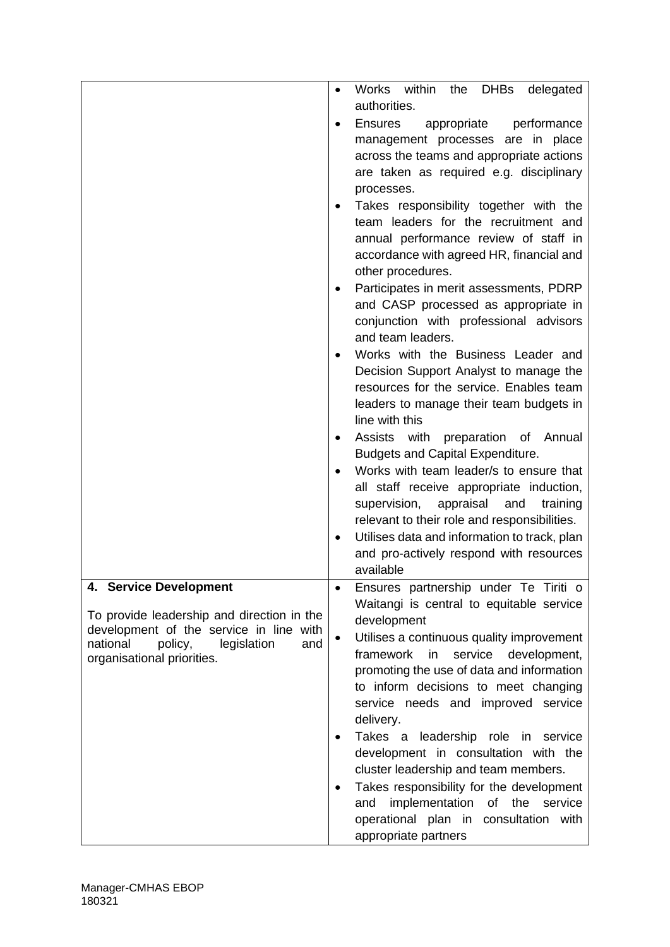|                                            | Works within<br><b>DHBs</b><br>the<br>delegated<br>٠                              |
|--------------------------------------------|-----------------------------------------------------------------------------------|
|                                            | authorities.                                                                      |
|                                            | <b>Ensures</b><br>performance<br>appropriate                                      |
|                                            | management processes are in place                                                 |
|                                            | across the teams and appropriate actions                                          |
|                                            | are taken as required e.g. disciplinary                                           |
|                                            | processes.                                                                        |
|                                            | Takes responsibility together with the                                            |
|                                            | team leaders for the recruitment and                                              |
|                                            | annual performance review of staff in                                             |
|                                            | accordance with agreed HR, financial and                                          |
|                                            | other procedures.                                                                 |
|                                            | Participates in merit assessments, PDRP                                           |
|                                            | and CASP processed as appropriate in                                              |
|                                            | conjunction with professional advisors<br>and team leaders.                       |
|                                            | Works with the Business Leader and                                                |
|                                            | Decision Support Analyst to manage the                                            |
|                                            | resources for the service. Enables team                                           |
|                                            | leaders to manage their team budgets in                                           |
|                                            | line with this                                                                    |
|                                            | Assists with preparation of Annual                                                |
|                                            | <b>Budgets and Capital Expenditure.</b>                                           |
|                                            | Works with team leader/s to ensure that                                           |
|                                            | all staff receive appropriate induction,                                          |
|                                            | supervision,<br>appraisal and<br>training                                         |
|                                            | relevant to their role and responsibilities.                                      |
|                                            | Utilises data and information to track, plan                                      |
|                                            | and pro-actively respond with resources<br>available                              |
| 4. Service Development                     |                                                                                   |
|                                            | Ensures partnership under Te Tiriti o<br>Waitangi is central to equitable service |
| To provide leadership and direction in the | development                                                                       |
| development of the service in line with    | Utilises a continuous quality improvement<br>$\bullet$                            |
| national<br>policy,<br>legislation<br>and  | framework<br>in<br>service<br>development,                                        |
| organisational priorities.                 | promoting the use of data and information                                         |
|                                            | to inform decisions to meet changing                                              |
|                                            | service needs and improved service                                                |
|                                            | delivery.                                                                         |
|                                            | Takes a leadership role in service                                                |
|                                            | development in consultation with the                                              |
|                                            | cluster leadership and team members.                                              |
|                                            | Takes responsibility for the development                                          |
|                                            | implementation<br>of the service<br>and                                           |
|                                            | operational plan in consultation with                                             |
|                                            | appropriate partners                                                              |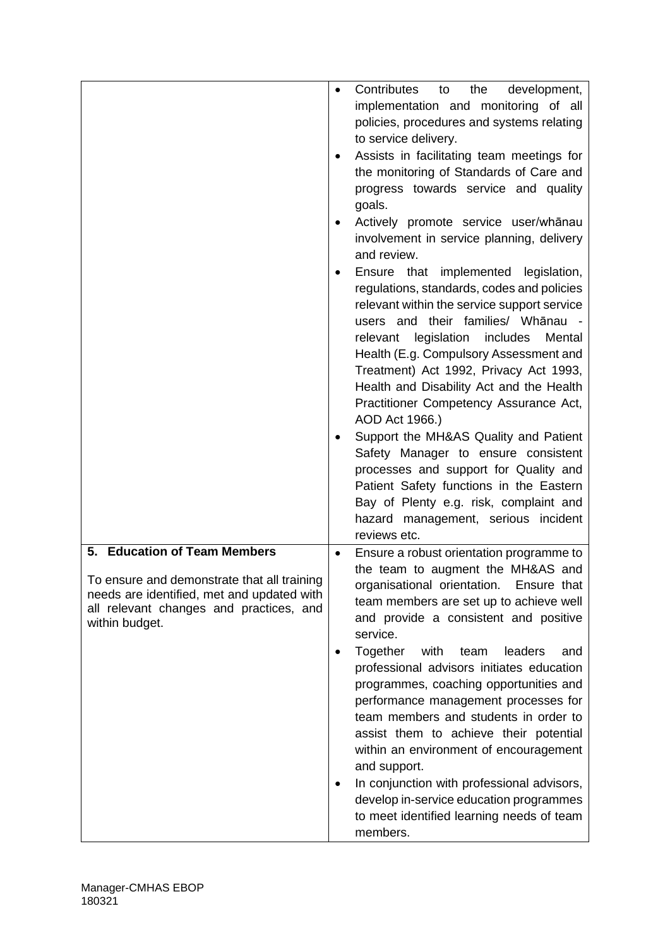|                                                                                                                                                                                        | Contributes<br>the<br>development,<br>to<br>implementation and monitoring of all<br>policies, procedures and systems relating<br>to service delivery.<br>Assists in facilitating team meetings for<br>٠<br>the monitoring of Standards of Care and<br>progress towards service and quality<br>goals.<br>Actively promote service user/whānau<br>involvement in service planning, delivery<br>and review.<br>Ensure that implemented legislation,<br>٠<br>regulations, standards, codes and policies<br>relevant within the service support service<br>users and their families/ Whānau -<br>relevant legislation<br>includes<br>Mental<br>Health (E.g. Compulsory Assessment and<br>Treatment) Act 1992, Privacy Act 1993,<br>Health and Disability Act and the Health<br>Practitioner Competency Assurance Act,<br>AOD Act 1966.)<br>Support the MH&AS Quality and Patient<br>Safety Manager to ensure consistent<br>processes and support for Quality and<br>Patient Safety functions in the Eastern<br>Bay of Plenty e.g. risk, complaint and |
|----------------------------------------------------------------------------------------------------------------------------------------------------------------------------------------|--------------------------------------------------------------------------------------------------------------------------------------------------------------------------------------------------------------------------------------------------------------------------------------------------------------------------------------------------------------------------------------------------------------------------------------------------------------------------------------------------------------------------------------------------------------------------------------------------------------------------------------------------------------------------------------------------------------------------------------------------------------------------------------------------------------------------------------------------------------------------------------------------------------------------------------------------------------------------------------------------------------------------------------------------|
|                                                                                                                                                                                        | hazard management, serious incident<br>reviews etc.                                                                                                                                                                                                                                                                                                                                                                                                                                                                                                                                                                                                                                                                                                                                                                                                                                                                                                                                                                                              |
| 5. Education of Team Members<br>To ensure and demonstrate that all training<br>needs are identified, met and updated with<br>all relevant changes and practices, and<br>within budget. | Ensure a robust orientation programme to<br>the team to augment the MH&AS and<br>organisational orientation. Ensure that<br>team members are set up to achieve well<br>and provide a consistent and positive<br>service.<br>Together<br>with<br>team<br>leaders<br>and<br>professional advisors initiates education<br>programmes, coaching opportunities and<br>performance management processes for<br>team members and students in order to<br>assist them to achieve their potential<br>within an environment of encouragement<br>and support.<br>In conjunction with professional advisors,<br>٠<br>develop in-service education programmes<br>to meet identified learning needs of team<br>members.                                                                                                                                                                                                                                                                                                                                        |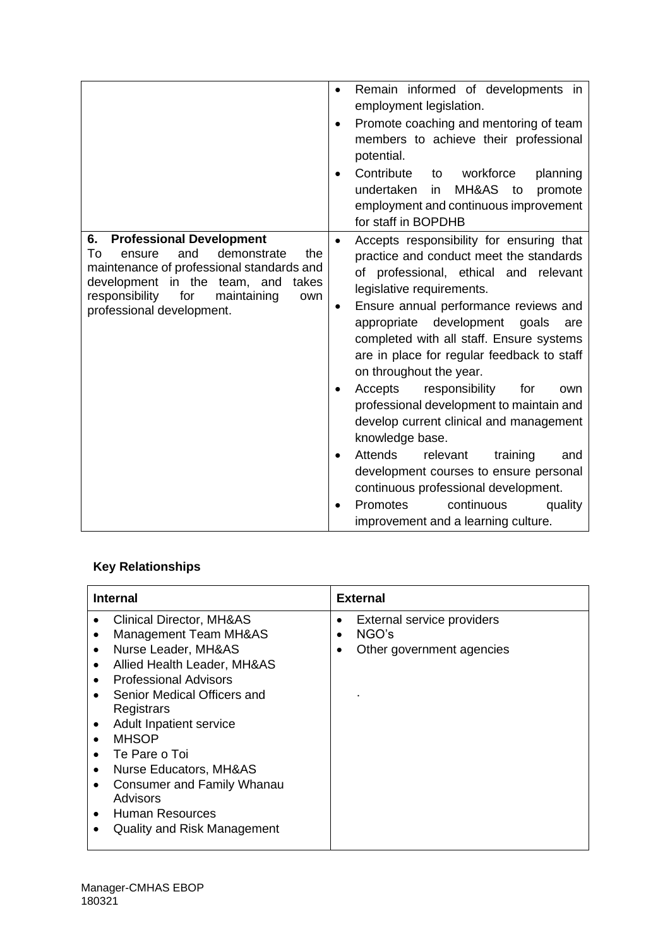|                                                                                                                                                                                                                                                      | Remain informed of developments in<br>employment legislation.<br>Promote coaching and mentoring of team<br>$\bullet$<br>members to achieve their professional<br>potential.<br>Contribute<br>workforce<br>planning<br>to<br>undertaken<br>MH&AS<br>in.<br>to<br>promote<br>employment and continuous improvement<br>for staff in BOPDHB                                                                                                                                                                                                                                                                                                                                                                                                                    |
|------------------------------------------------------------------------------------------------------------------------------------------------------------------------------------------------------------------------------------------------------|------------------------------------------------------------------------------------------------------------------------------------------------------------------------------------------------------------------------------------------------------------------------------------------------------------------------------------------------------------------------------------------------------------------------------------------------------------------------------------------------------------------------------------------------------------------------------------------------------------------------------------------------------------------------------------------------------------------------------------------------------------|
| 6.<br><b>Professional Development</b><br>demonstrate<br>the<br>To<br>and<br>ensure<br>maintenance of professional standards and<br>development in the team, and<br>takes<br>responsibility<br>for<br>maintaining<br>own<br>professional development. | Accepts responsibility for ensuring that<br>$\bullet$<br>practice and conduct meet the standards<br>of professional, ethical and relevant<br>legislative requirements.<br>Ensure annual performance reviews and<br>appropriate development<br>goals<br>are<br>completed with all staff. Ensure systems<br>are in place for regular feedback to staff<br>on throughout the year.<br>Accepts<br>responsibility<br>for<br>own<br>professional development to maintain and<br>develop current clinical and management<br>knowledge base.<br><b>Attends</b><br>relevant<br>training<br>and<br>development courses to ensure personal<br>continuous professional development.<br><b>Promotes</b><br>continuous<br>quality<br>improvement and a learning culture. |

# **Key Relationships**

| <b>Internal</b>                                                                                                                                                                                                                                                                                                                                                                                                                                                            | <b>External</b>                                                                         |
|----------------------------------------------------------------------------------------------------------------------------------------------------------------------------------------------------------------------------------------------------------------------------------------------------------------------------------------------------------------------------------------------------------------------------------------------------------------------------|-----------------------------------------------------------------------------------------|
| <b>Clinical Director, MH&amp;AS</b><br>٠<br><b>Management Team MH&amp;AS</b><br>٠<br>Nurse Leader, MH&AS<br>$\bullet$<br>Allied Health Leader, MH&AS<br>٠<br><b>Professional Advisors</b><br>Senior Medical Officers and<br>Registrars<br>Adult Inpatient service<br><b>MHSOP</b><br>Te Pare o Toi<br>٠<br>Nurse Educators, MH&AS<br>٠<br><b>Consumer and Family Whanau</b><br>$\bullet$<br>Advisors<br>Human Resources<br>$\bullet$<br><b>Quality and Risk Management</b> | External service providers<br>٠<br>NGO's<br>$\bullet$<br>Other government agencies<br>٠ |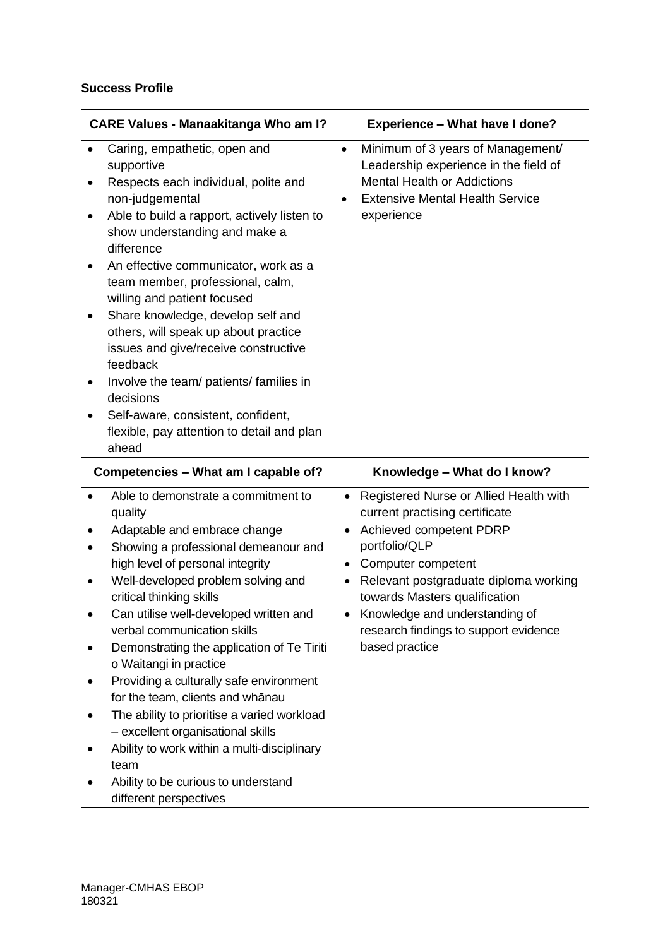### **Success Profile**

| <b>CARE Values - Manaakitanga Who am I?</b>                                                                                                                                                                                                                                                                                                                                                                                                                                                                                                                                                                                                                              | <b>Experience - What have I done?</b>                                                                                                                                                                                                                                                                                                            |
|--------------------------------------------------------------------------------------------------------------------------------------------------------------------------------------------------------------------------------------------------------------------------------------------------------------------------------------------------------------------------------------------------------------------------------------------------------------------------------------------------------------------------------------------------------------------------------------------------------------------------------------------------------------------------|--------------------------------------------------------------------------------------------------------------------------------------------------------------------------------------------------------------------------------------------------------------------------------------------------------------------------------------------------|
| Caring, empathetic, open and<br>supportive<br>Respects each individual, polite and<br>non-judgemental<br>Able to build a rapport, actively listen to<br>show understanding and make a<br>difference<br>An effective communicator, work as a<br>team member, professional, calm,<br>willing and patient focused<br>Share knowledge, develop self and<br>others, will speak up about practice<br>issues and give/receive constructive<br>feedback<br>Involve the team/ patients/ families in<br>decisions<br>Self-aware, consistent, confident,<br>flexible, pay attention to detail and plan<br>ahead                                                                     | Minimum of 3 years of Management/<br>$\bullet$<br>Leadership experience in the field of<br><b>Mental Health or Addictions</b><br><b>Extensive Mental Health Service</b><br>experience                                                                                                                                                            |
| Competencies - What am I capable of?                                                                                                                                                                                                                                                                                                                                                                                                                                                                                                                                                                                                                                     | Knowledge - What do I know?                                                                                                                                                                                                                                                                                                                      |
| Able to demonstrate a commitment to<br>quality<br>Adaptable and embrace change<br>Showing a professional demeanour and<br>high level of personal integrity<br>Well-developed problem solving and<br>critical thinking skills<br>Can utilise well-developed written and<br>verbal communication skills<br>Demonstrating the application of Te Tiriti<br>o Waitangi in practice<br>Providing a culturally safe environment<br>for the team, clients and whānau<br>The ability to prioritise a varied workload<br>- excellent organisational skills<br>Ability to work within a multi-disciplinary<br>team<br>Ability to be curious to understand<br>different perspectives | Registered Nurse or Allied Health with<br>$\bullet$<br>current practising certificate<br>Achieved competent PDRP<br>$\bullet$<br>portfolio/QLP<br>Computer competent<br>٠<br>Relevant postgraduate diploma working<br>towards Masters qualification<br>Knowledge and understanding of<br>research findings to support evidence<br>based practice |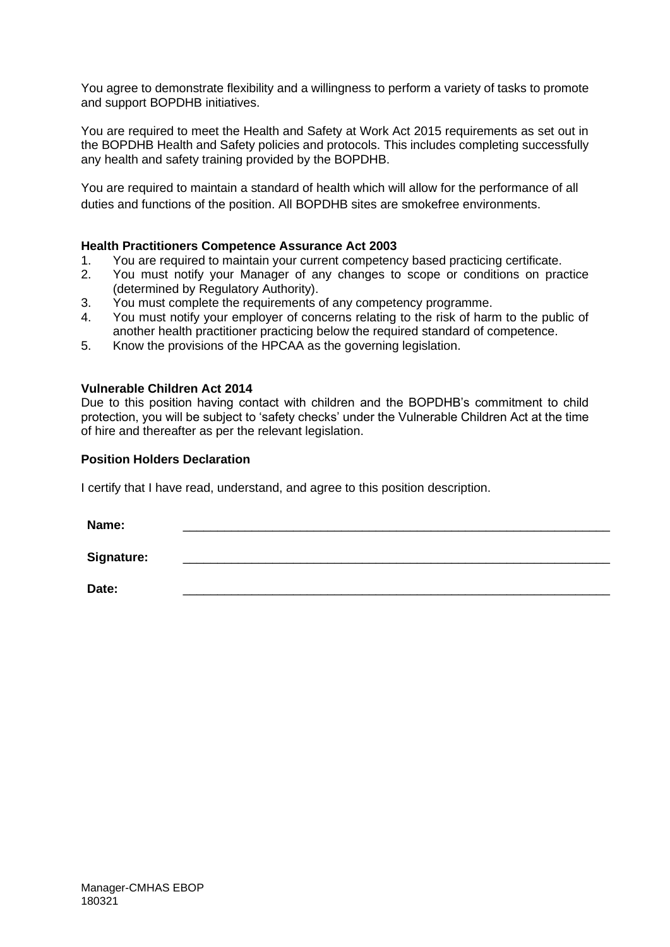You agree to demonstrate flexibility and a willingness to perform a variety of tasks to promote and support BOPDHB initiatives.

You are required to meet the Health and Safety at Work Act 2015 requirements as set out in the BOPDHB Health and Safety policies and protocols. This includes completing successfully any health and safety training provided by the BOPDHB.

You are required to maintain a standard of health which will allow for the performance of all duties and functions of the position. All BOPDHB sites are smokefree environments.

#### **Health Practitioners Competence Assurance Act 2003**

- 1. You are required to maintain your current competency based practicing certificate.
- 2. You must notify your Manager of any changes to scope or conditions on practice (determined by Regulatory Authority).
- 3. You must complete the requirements of any competency programme.
- 4. You must notify your employer of concerns relating to the risk of harm to the public of another health practitioner practicing below the required standard of competence.
- 5. Know the provisions of the HPCAA as the governing legislation.

#### **Vulnerable Children Act 2014**

Due to this position having contact with children and the BOPDHB's commitment to child protection, you will be subject to 'safety checks' under the Vulnerable Children Act at the time of hire and thereafter as per the relevant legislation.

#### **Position Holders Declaration**

I certify that I have read, understand, and agree to this position description.

**Name:** \_\_\_\_\_\_\_\_\_\_\_\_\_\_\_\_\_\_\_\_\_\_\_\_\_\_\_\_\_\_\_\_\_\_\_\_\_\_\_\_\_\_\_\_\_\_\_\_\_\_\_\_\_\_\_\_\_\_\_\_\_\_

Signature:

**Date:** \_\_\_\_\_\_\_\_\_\_\_\_\_\_\_\_\_\_\_\_\_\_\_\_\_\_\_\_\_\_\_\_\_\_\_\_\_\_\_\_\_\_\_\_\_\_\_\_\_\_\_\_\_\_\_\_\_\_\_\_\_\_